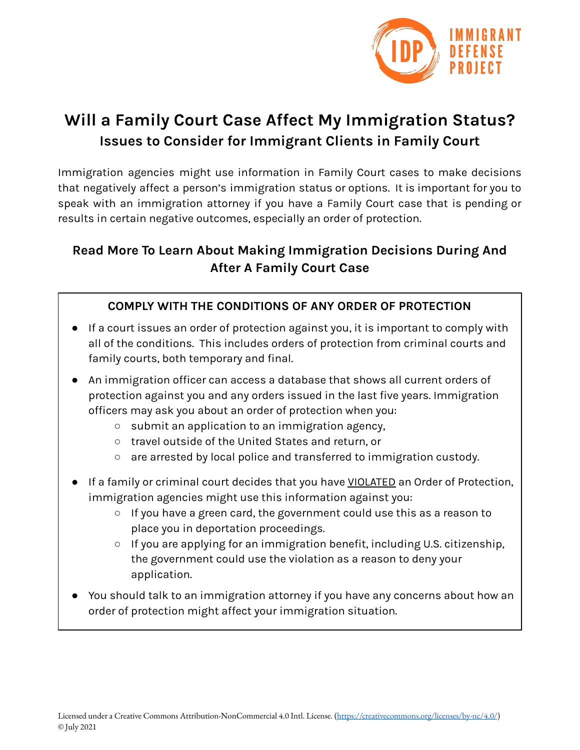

# **Will a Family Court Case Affect My Immigration Status? Issues to Consider for Immigrant Clients in Family Court**

Immigration agencies might use information in Family Court cases to make decisions that negatively affect a person's immigration status or options. It is important for you to speak with an immigration attorney if you have a Family Court case that is pending or results in certain negative outcomes, especially an order of protection.

# **Read More To Learn About Making Immigration Decisions During And After A Family Court Case**

## **COMPLY WITH THE CONDITIONS OF ANY ORDER OF PROTECTION**

- If a court issues an order of protection against you, it is important to comply with all of the conditions. This includes orders of protection from criminal courts and family courts, both temporary and final.
- An immigration officer can access a database that shows all current orders of protection against you and any orders issued in the last five years. Immigration officers may ask you about an order of protection when you:
	- submit an application to an immigration agency,
	- travel outside of the United States and return, or
	- are arrested by local police and transferred to immigration custody.
- If a family or criminal court decides that you have VIOLATED an Order of Protection, immigration agencies might use this information against you:
	- If you have a green card, the government could use this as a reason to place you in deportation proceedings.
	- If you are applying for an immigration benefit, including U.S. citizenship, the government could use the violation as a reason to deny your application.
- You should talk to an immigration attorney if you have any concerns about how an order of protection might affect your immigration situation.